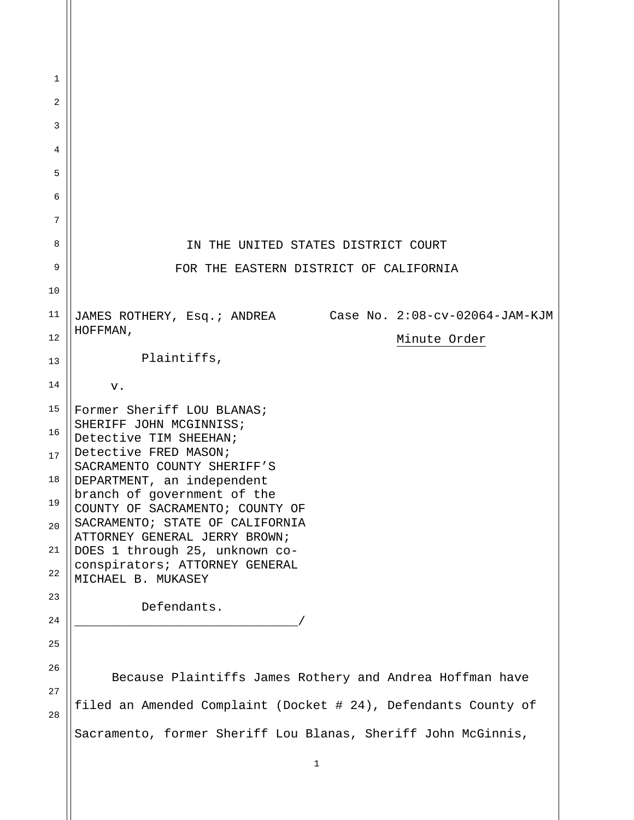| 1  |                                                                  |
|----|------------------------------------------------------------------|
| 2  |                                                                  |
| 3  |                                                                  |
| 4  |                                                                  |
| 5  |                                                                  |
| 6  |                                                                  |
| 7  |                                                                  |
| 8  | IN THE UNITED STATES DISTRICT COURT                              |
| 9  | FOR THE EASTERN DISTRICT OF CALIFORNIA                           |
| 10 |                                                                  |
| 11 | JAMES ROTHERY, Esq.; ANDREA Case No. 2:08-cv-02064-JAM-KJM       |
| 12 | HOFFMAN,<br>Minute Order                                         |
| 13 | Plaintiffs,                                                      |
| 14 | ${\bf v}$ .                                                      |
| 15 | Former Sheriff LOU BLANAS;                                       |
| 16 | SHERIFF JOHN MCGINNISS;<br>Detective TIM SHEEHAN;                |
| 17 | Detective FRED MASON;<br>SACRAMENTO COUNTY SHERIFF'S             |
| 18 | DEPARTMENT, an independent                                       |
| 19 | branch of government of the<br>COUNTY OF SACRAMENTO; COUNTY OF   |
| 20 | SACRAMENTO; STATE OF CALIFORNIA<br>ATTORNEY GENERAL JERRY BROWN; |
| 21 | DOES 1 through 25, unknown co-                                   |
| 22 | conspirators; ATTORNEY GENERAL<br>MICHAEL B. MUKASEY             |
| 23 | Defendants.                                                      |
| 24 |                                                                  |
| 25 |                                                                  |
| 26 | Because Plaintiffs James Rothery and Andrea Hoffman have         |
| 27 |                                                                  |
| 28 | filed an Amended Complaint (Docket # 24), Defendants County of   |
|    | Sacramento, former Sheriff Lou Blanas, Sheriff John McGinnis,    |
|    | $\mathbf{1}$                                                     |

II